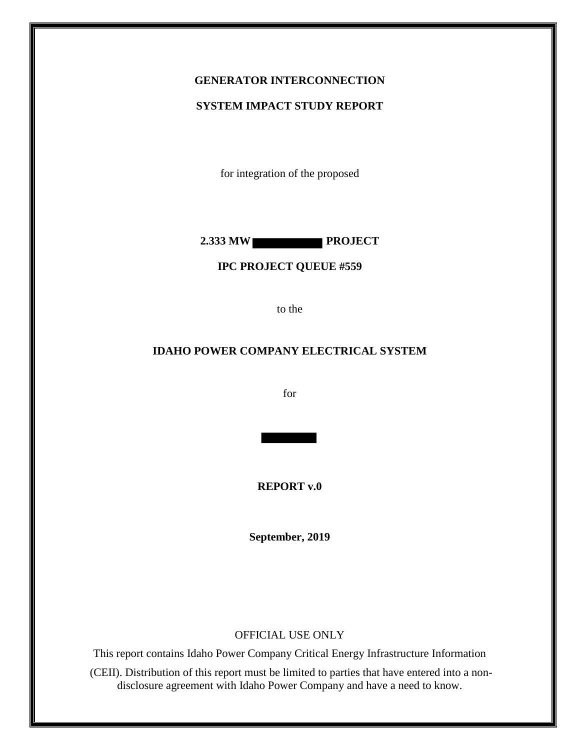### **GENERATOR INTERCONNECTION**

#### **SYSTEM IMPACT STUDY REPORT**

for integration of the proposed

**2.333 MW PROJECT**

#### **IPC PROJECT QUEUE #559**

to the

### **IDAHO POWER COMPANY ELECTRICAL SYSTEM**

for

**REPORT v.0**

**September, 2019**

#### OFFICIAL USE ONLY

This report contains Idaho Power Company Critical Energy Infrastructure Information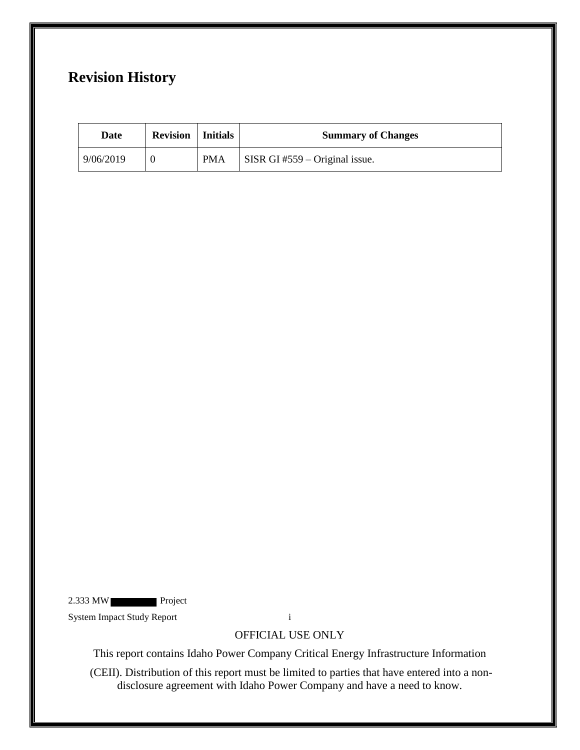# **Revision History**

| Date      | <b>Revision</b>   Initials |            | <b>Summary of Changes</b>                          |
|-----------|----------------------------|------------|----------------------------------------------------|
| 9/06/2019 |                            | <b>PMA</b> | $\overline{\text{SISR}}$ GI #559 – Original issue. |

2.333 MW Project

System Impact Study Report i

OFFICIAL USE ONLY

This report contains Idaho Power Company Critical Energy Infrastructure Information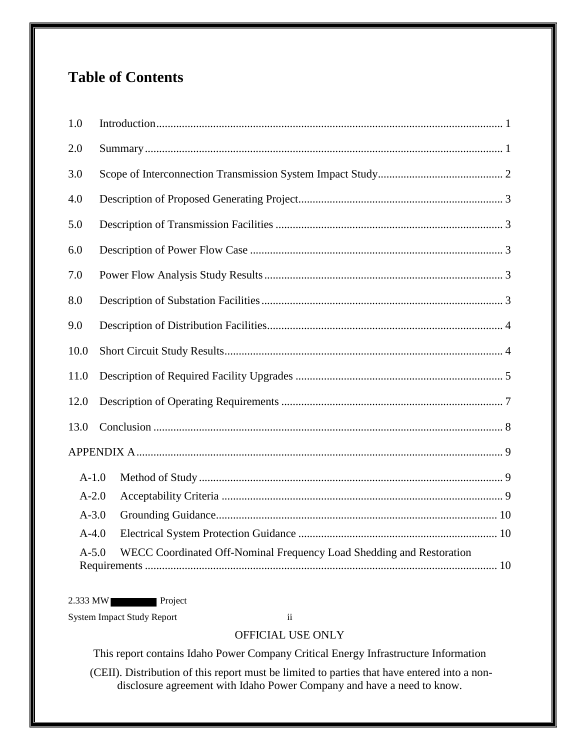# **Table of Contents**

| 1.0       |                                                                                 |  |  |  |
|-----------|---------------------------------------------------------------------------------|--|--|--|
| 2.0       |                                                                                 |  |  |  |
| 3.0       |                                                                                 |  |  |  |
| 4.0       |                                                                                 |  |  |  |
| 5.0       |                                                                                 |  |  |  |
| 6.0       |                                                                                 |  |  |  |
| 7.0       |                                                                                 |  |  |  |
| 8.0       |                                                                                 |  |  |  |
| 9.0       |                                                                                 |  |  |  |
| 10.0      |                                                                                 |  |  |  |
| 11.0      |                                                                                 |  |  |  |
| 12.0      |                                                                                 |  |  |  |
| 13.0      |                                                                                 |  |  |  |
|           |                                                                                 |  |  |  |
| $A-1.0$   |                                                                                 |  |  |  |
| $A-2.0$   |                                                                                 |  |  |  |
| $A - 3.0$ |                                                                                 |  |  |  |
| $A-4.0$   |                                                                                 |  |  |  |
|           | WECC Coordinated Off-Nominal Frequency Load Shedding and Restoration<br>$A-5.0$ |  |  |  |

2.333 MW Project

System Impact Study Report ii

## OFFICIAL USE ONLY

This report contains Idaho Power Company Critical Energy Infrastructure Information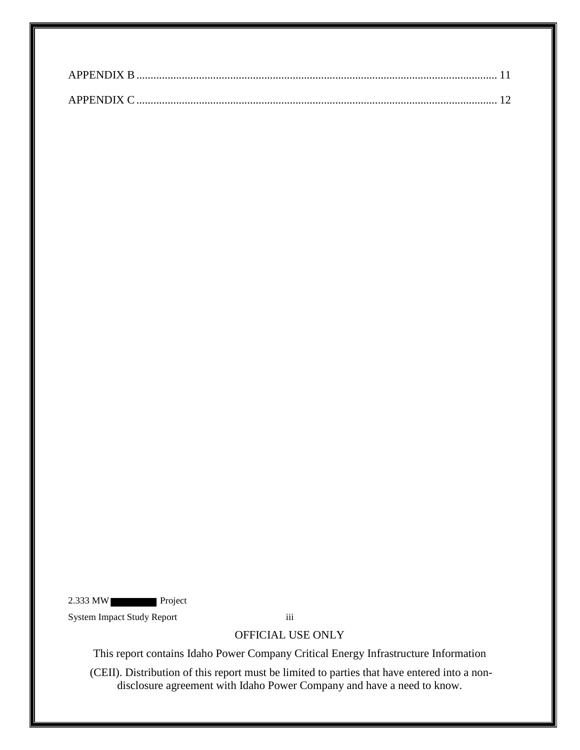2.333 MW Project

System Impact Study Report iii

## OFFICIAL USE ONLY

This report contains Idaho Power Company Critical Energy Infrastructure Information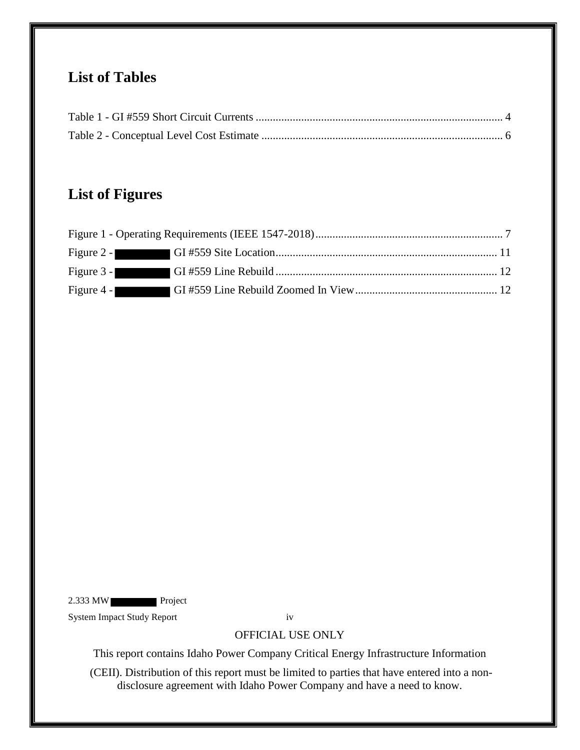# **List of Tables**

# **List of Figures**

| Figure 4 - |  |
|------------|--|

2.333 MW Project

System Impact Study Report iv

OFFICIAL USE ONLY

This report contains Idaho Power Company Critical Energy Infrastructure Information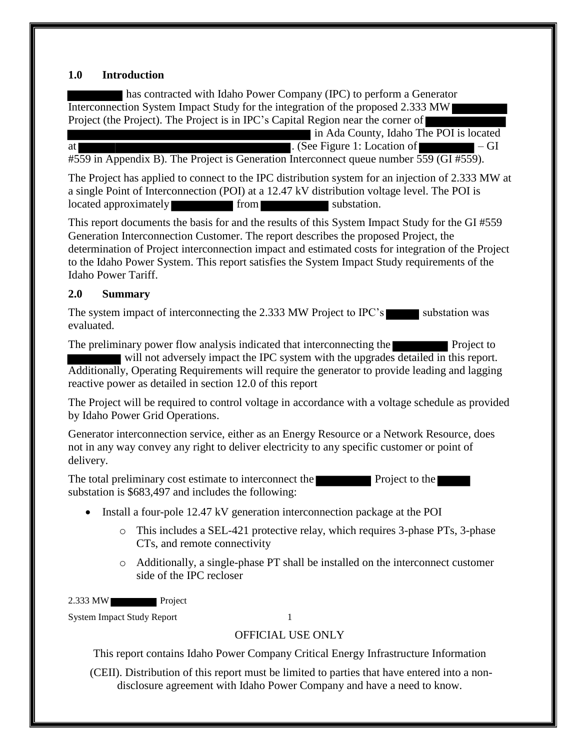#### <span id="page-5-0"></span>**1.0 Introduction**

has contracted with Idaho Power Company (IPC) to perform a Generator Interconnection System Impact Study for the integration of the proposed 2.333 MW Project (the Project). The Project is in IPC's Capital Region near the corner of

 in Ada County, Idaho The POI is located at  $\overline{a}$  . (See Figure 1: Location of  $\overline{a}$  – GI #559 in Appendix B). The Project is Generation Interconnect queue number 559 (GI #559).

The Project has applied to connect to the IPC distribution system for an injection of 2.333 MW at a single Point of Interconnection (POI) at a 12.47 kV distribution voltage level. The POI is located approximately from from substation.

This report documents the basis for and the results of this System Impact Study for the GI #559 Generation Interconnection Customer. The report describes the proposed Project, the determination of Project interconnection impact and estimated costs for integration of the Project to the Idaho Power System. This report satisfies the System Impact Study requirements of the Idaho Power Tariff.

## <span id="page-5-1"></span>**2.0 Summary**

The system impact of interconnecting the 2.333 MW Project to IPC's substation was evaluated.

The preliminary power flow analysis indicated that interconnecting the Project to will not adversely impact the IPC system with the upgrades detailed in this report. Additionally, Operating Requirements will require the generator to provide leading and lagging reactive power as detailed in section 12.0 of this report

The Project will be required to control voltage in accordance with a voltage schedule as provided by Idaho Power Grid Operations.

Generator interconnection service, either as an Energy Resource or a Network Resource, does not in any way convey any right to deliver electricity to any specific customer or point of delivery.

The total preliminary cost estimate to interconnect the Project to the substation is \$683,497 and includes the following:

- Install a four-pole 12.47 kV generation interconnection package at the POI
	- o This includes a SEL-421 protective relay, which requires 3-phase PTs, 3-phase CTs, and remote connectivity
	- o Additionally, a single-phase PT shall be installed on the interconnect customer side of the IPC recloser

2.333 MW Project

System Impact Study Report 1

## OFFICIAL USE ONLY

This report contains Idaho Power Company Critical Energy Infrastructure Information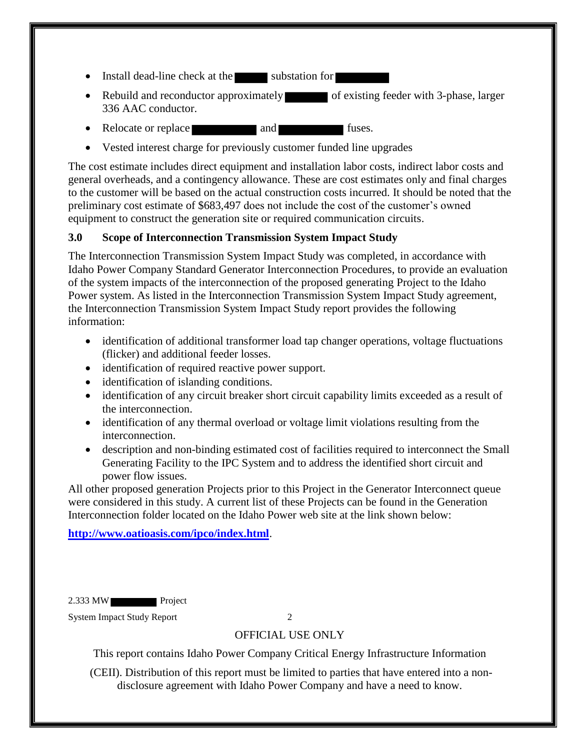- Install dead-line check at the substation for
- Rebuild and reconductor approximately of existing feeder with 3-phase, larger 336 AAC conductor.
- Relocate or replace and and fuses.
- Vested interest charge for previously customer funded line upgrades

The cost estimate includes direct equipment and installation labor costs, indirect labor costs and general overheads, and a contingency allowance. These are cost estimates only and final charges to the customer will be based on the actual construction costs incurred. It should be noted that the preliminary cost estimate of \$683,497 does not include the cost of the customer's owned equipment to construct the generation site or required communication circuits.

## <span id="page-6-0"></span>**3.0 Scope of Interconnection Transmission System Impact Study**

The Interconnection Transmission System Impact Study was completed, in accordance with Idaho Power Company Standard Generator Interconnection Procedures, to provide an evaluation of the system impacts of the interconnection of the proposed generating Project to the Idaho Power system. As listed in the Interconnection Transmission System Impact Study agreement, the Interconnection Transmission System Impact Study report provides the following information:

- identification of additional transformer load tap changer operations, voltage fluctuations (flicker) and additional feeder losses.
- identification of required reactive power support.
- identification of islanding conditions.
- identification of any circuit breaker short circuit capability limits exceeded as a result of the interconnection.
- identification of any thermal overload or voltage limit violations resulting from the interconnection.
- description and non-binding estimated cost of facilities required to interconnect the Small Generating Facility to the IPC System and to address the identified short circuit and power flow issues.

All other proposed generation Projects prior to this Project in the Generator Interconnect queue were considered in this study. A current list of these Projects can be found in the Generation Interconnection folder located on the Idaho Power web site at the link shown below:

**<http://www.oatioasis.com/ipco/index.html>**.

2.333 MW Project

System Impact Study Report 2

## OFFICIAL USE ONLY

This report contains Idaho Power Company Critical Energy Infrastructure Information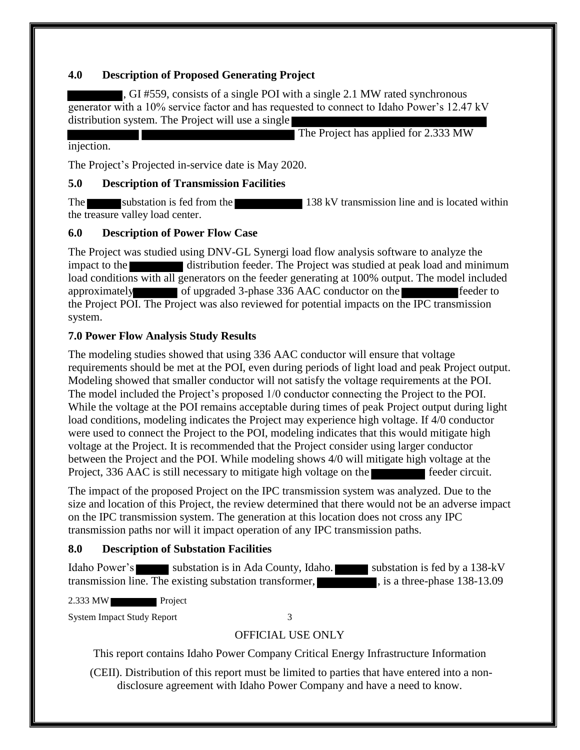## <span id="page-7-0"></span>**4.0 Description of Proposed Generating Project**

, GI #559, consists of a single POI with a single 2.1 MW rated synchronous generator with a 10% service factor and has requested to connect to Idaho Power's 12.47 kV distribution system. The Project will use a single

The Project has applied for 2.333 MW injection.

The Project's Projected in-service date is May 2020.

## <span id="page-7-1"></span>**5.0 Description of Transmission Facilities**

The substation is fed from the 138 kV transmission line and is located within the treasure valley load center.

## <span id="page-7-2"></span>**6.0 Description of Power Flow Case**

The Project was studied using DNV-GL Synergi load flow analysis software to analyze the impact to the distribution feeder. The Project was studied at peak load and minimum load conditions with all generators on the feeder generating at 100% output. The model included approximately of upgraded 3-phase 336 AAC conductor on the feeder to the Project POI. The Project was also reviewed for potential impacts on the IPC transmission system.

## <span id="page-7-3"></span>**7.0 Power Flow Analysis Study Results**

The modeling studies showed that using 336 AAC conductor will ensure that voltage requirements should be met at the POI, even during periods of light load and peak Project output. Modeling showed that smaller conductor will not satisfy the voltage requirements at the POI. The model included the Project's proposed 1/0 conductor connecting the Project to the POI. While the voltage at the POI remains acceptable during times of peak Project output during light load conditions, modeling indicates the Project may experience high voltage. If 4/0 conductor were used to connect the Project to the POI, modeling indicates that this would mitigate high voltage at the Project. It is recommended that the Project consider using larger conductor between the Project and the POI. While modeling shows 4/0 will mitigate high voltage at the Project, 336 AAC is still necessary to mitigate high voltage on the feeder circuit.

The impact of the proposed Project on the IPC transmission system was analyzed. Due to the size and location of this Project, the review determined that there would not be an adverse impact on the IPC transmission system. The generation at this location does not cross any IPC transmission paths nor will it impact operation of any IPC transmission paths.

## <span id="page-7-4"></span>**8.0 Description of Substation Facilities**

Idaho Power's substation is in Ada County, Idaho. Substation is fed by a 138-kV transmission line. The existing substation transformer,  $\blacksquare$ , is a three-phase 138-13.09

2.333 MW Project

System Impact Study Report 3

## OFFICIAL USE ONLY

This report contains Idaho Power Company Critical Energy Infrastructure Information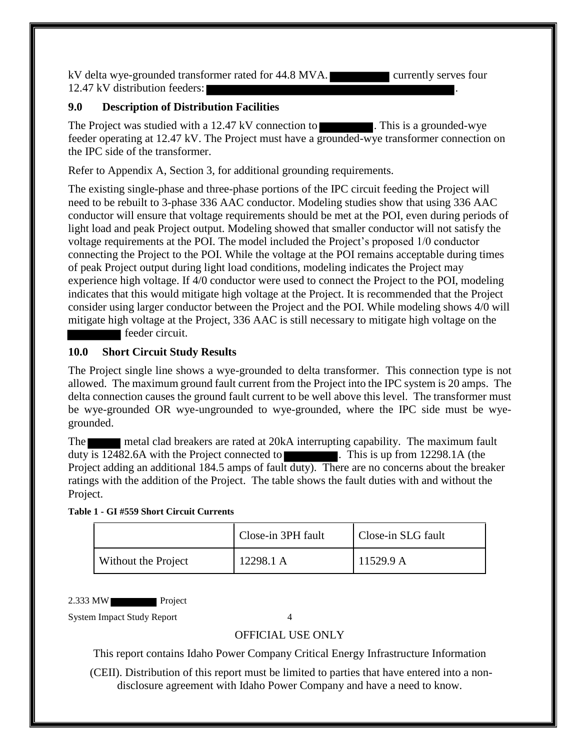kV delta wye-grounded transformer rated for 44.8 MVA. currently serves four 12.47 kV distribution feeders:

### <span id="page-8-0"></span>**9.0 Description of Distribution Facilities**

The Project was studied with a 12.47 kV connection to **The Example 1.** This is a grounded-wye feeder operating at 12.47 kV. The Project must have a grounded-wye transformer connection on the IPC side of the transformer.

Refer to Appendix A, Section 3, for additional grounding requirements.

The existing single-phase and three-phase portions of the IPC circuit feeding the Project will need to be rebuilt to 3-phase 336 AAC conductor. Modeling studies show that using 336 AAC conductor will ensure that voltage requirements should be met at the POI, even during periods of light load and peak Project output. Modeling showed that smaller conductor will not satisfy the voltage requirements at the POI. The model included the Project's proposed 1/0 conductor connecting the Project to the POI. While the voltage at the POI remains acceptable during times of peak Project output during light load conditions, modeling indicates the Project may experience high voltage. If 4/0 conductor were used to connect the Project to the POI, modeling indicates that this would mitigate high voltage at the Project. It is recommended that the Project consider using larger conductor between the Project and the POI. While modeling shows 4/0 will mitigate high voltage at the Project, 336 AAC is still necessary to mitigate high voltage on the feeder circuit.

#### <span id="page-8-1"></span>**10.0 Short Circuit Study Results**

The Project single line shows a wye-grounded to delta transformer. This connection type is not allowed. The maximum ground fault current from the Project into the IPC system is 20 amps. The delta connection causes the ground fault current to be well above this level. The transformer must be wye-grounded OR wye-ungrounded to wye-grounded, where the IPC side must be wyegrounded.

The metal clad breakers are rated at 20kA interrupting capability. The maximum fault duty is 12482.6A with the Project connected to . This is up from 12298.1A (the Project adding an additional 184.5 amps of fault duty). There are no concerns about the breaker ratings with the addition of the Project. The table shows the fault duties with and without the Project.

<span id="page-8-2"></span>**Table 1 - GI #559 Short Circuit Currents**

|                     | Close-in 3PH fault | Close-in SLG fault |
|---------------------|--------------------|--------------------|
| Without the Project | 12298.1 A          | 11529.9 A          |

2.333 MW Project

System Impact Study Report 4

#### OFFICIAL USE ONLY

This report contains Idaho Power Company Critical Energy Infrastructure Information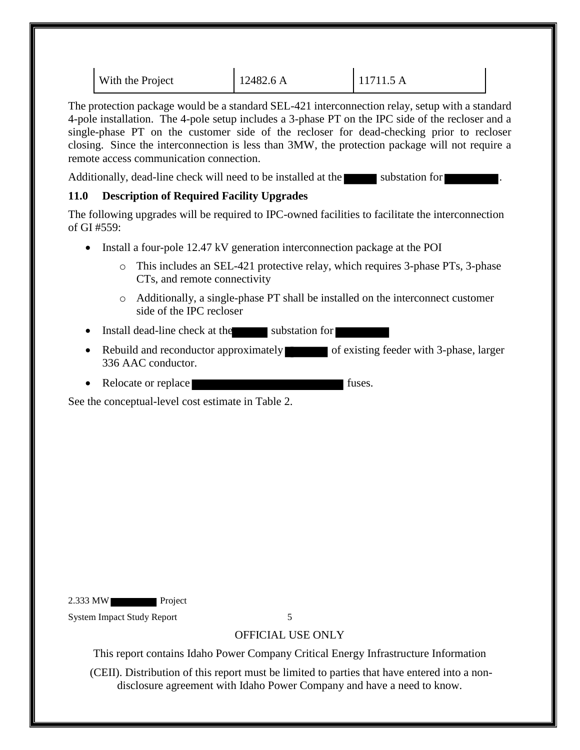| With the Project | 12482.6 A | 11711.5 A |
|------------------|-----------|-----------|
|                  |           |           |

The protection package would be a standard SEL-421 interconnection relay, setup with a standard 4-pole installation. The 4-pole setup includes a 3-phase PT on the IPC side of the recloser and a single-phase PT on the customer side of the recloser for dead-checking prior to recloser closing. Since the interconnection is less than 3MW, the protection package will not require a remote access communication connection.

Additionally, dead-line check will need to be installed at the substation for

## <span id="page-9-0"></span>**11.0 Description of Required Facility Upgrades**

The following upgrades will be required to IPC-owned facilities to facilitate the interconnection of GI #559:

- Install a four-pole 12.47 kV generation interconnection package at the POI
	- o This includes an SEL-421 protective relay, which requires 3-phase PTs, 3-phase CTs, and remote connectivity
	- o Additionally, a single-phase PT shall be installed on the interconnect customer side of the IPC recloser
- Install dead-line check at the substation for
- Rebuild and reconductor approximately of existing feeder with 3-phase, larger 336 AAC conductor.
- Relocate or replace fuses.

See the conceptual-level cost estimate in Table 2.

2.333 MW Project

System Impact Study Report 5

## OFFICIAL USE ONLY

This report contains Idaho Power Company Critical Energy Infrastructure Information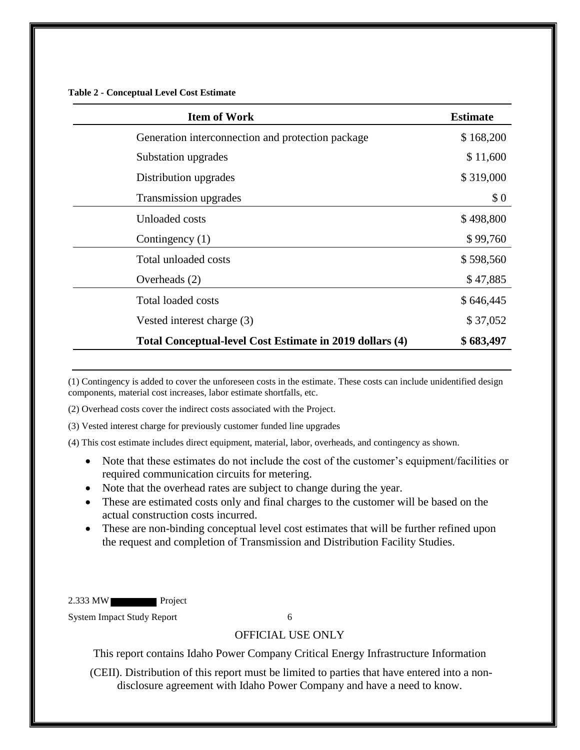<span id="page-10-0"></span>**Table 2 - Conceptual Level Cost Estimate**

| <b>Item of Work</b>                                      | <b>Estimate</b> |
|----------------------------------------------------------|-----------------|
| Generation interconnection and protection package        | \$168,200       |
| Substation upgrades                                      | \$11,600        |
| Distribution upgrades                                    | \$319,000       |
| Transmission upgrades                                    | \$0             |
| Unloaded costs                                           | \$498,800       |
| Contingency (1)                                          | \$99,760        |
| Total unloaded costs                                     | \$598,560       |
| Overheads (2)                                            | \$47,885        |
| <b>Total loaded costs</b>                                | \$646,445       |
| Vested interest charge (3)                               | \$37,052        |
| Total Conceptual-level Cost Estimate in 2019 dollars (4) | \$683,497       |

(1) Contingency is added to cover the unforeseen costs in the estimate. These costs can include unidentified design components, material cost increases, labor estimate shortfalls, etc.

(2) Overhead costs cover the indirect costs associated with the Project.

(3) Vested interest charge for previously customer funded line upgrades

(4) This cost estimate includes direct equipment, material, labor, overheads, and contingency as shown.

- Note that these estimates do not include the cost of the customer's equipment/facilities or required communication circuits for metering.
- Note that the overhead rates are subject to change during the year.
- These are estimated costs only and final charges to the customer will be based on the actual construction costs incurred.
- These are non-binding conceptual level cost estimates that will be further refined upon the request and completion of Transmission and Distribution Facility Studies.

2.333 MW Project

System Impact Study Report 6

#### OFFICIAL USE ONLY

This report contains Idaho Power Company Critical Energy Infrastructure Information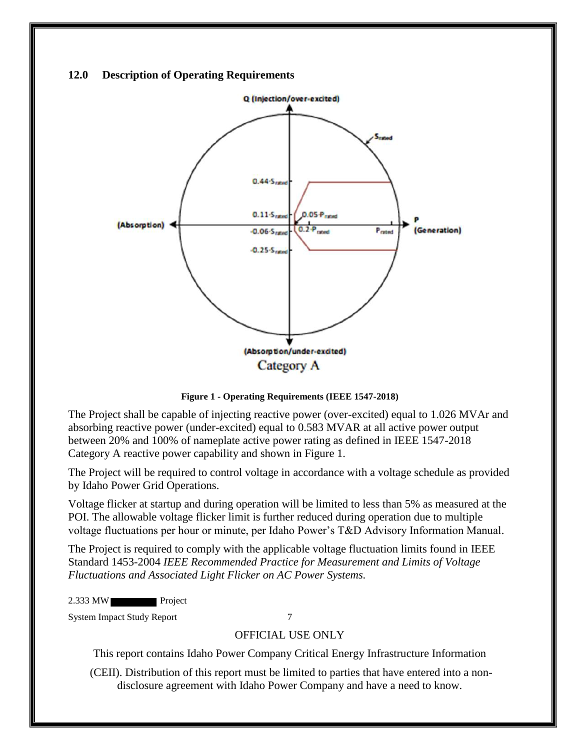#### <span id="page-11-0"></span>**12.0 Description of Operating Requirements**



**Figure 1 - Operating Requirements (IEEE 1547-2018)**

<span id="page-11-1"></span>The Project shall be capable of injecting reactive power (over-excited) equal to 1.026 MVAr and absorbing reactive power (under-excited) equal to 0.583 MVAR at all active power output between 20% and 100% of nameplate active power rating as defined in IEEE 1547-2018 Category A reactive power capability and shown in Figure 1.

The Project will be required to control voltage in accordance with a voltage schedule as provided by Idaho Power Grid Operations.

Voltage flicker at startup and during operation will be limited to less than 5% as measured at the POI. The allowable voltage flicker limit is further reduced during operation due to multiple voltage fluctuations per hour or minute, per Idaho Power's T&D Advisory Information Manual.

The Project is required to comply with the applicable voltage fluctuation limits found in IEEE Standard 1453-2004 *IEEE Recommended Practice for Measurement and Limits of Voltage Fluctuations and Associated Light Flicker on AC Power Systems.* 

2.333 MW Project

System Impact Study Report 7

#### OFFICIAL USE ONLY

This report contains Idaho Power Company Critical Energy Infrastructure Information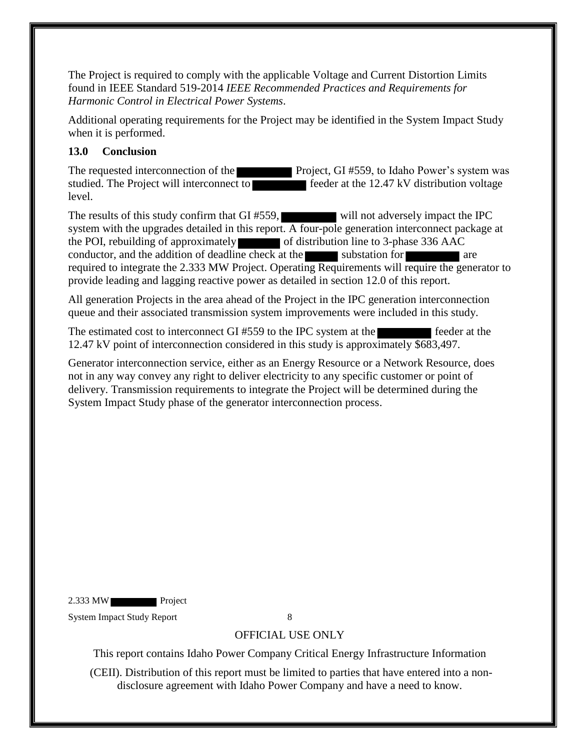The Project is required to comply with the applicable Voltage and Current Distortion Limits found in IEEE Standard 519-2014 *IEEE Recommended Practices and Requirements for Harmonic Control in Electrical Power Systems*.

Additional operating requirements for the Project may be identified in the System Impact Study when it is performed.

## <span id="page-12-0"></span>**13.0 Conclusion**

The requested interconnection of the Project, GI #559, to Idaho Power's system was studied. The Project will interconnect to feeder at the 12.47 kV distribution voltage level.

The results of this study confirm that GI #559, will not adversely impact the IPC system with the upgrades detailed in this report. A four-pole generation interconnect package at the POI, rebuilding of approximately of distribution line to 3-phase 336 AAC conductor, and the addition of deadline check at the substation for required to integrate the 2.333 MW Project. Operating Requirements will require the generator to provide leading and lagging reactive power as detailed in section 12.0 of this report.

All generation Projects in the area ahead of the Project in the IPC generation interconnection queue and their associated transmission system improvements were included in this study.

The estimated cost to interconnect GI #559 to the IPC system at the feeder at the 12.47 kV point of interconnection considered in this study is approximately \$683,497.

Generator interconnection service, either as an Energy Resource or a Network Resource, does not in any way convey any right to deliver electricity to any specific customer or point of delivery. Transmission requirements to integrate the Project will be determined during the System Impact Study phase of the generator interconnection process.

2.333 MW Project

System Impact Study Report 8

## OFFICIAL USE ONLY

This report contains Idaho Power Company Critical Energy Infrastructure Information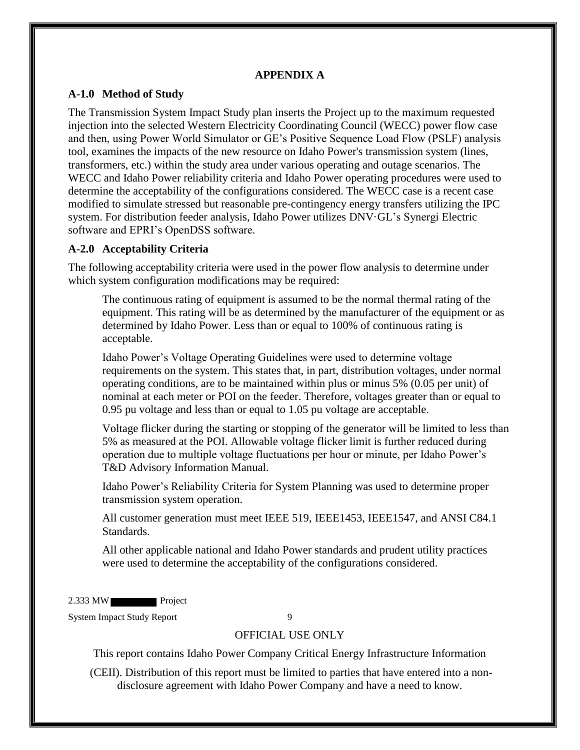### **APPENDIX A**

### <span id="page-13-1"></span><span id="page-13-0"></span>**A-1.0 Method of Study**

The Transmission System Impact Study plan inserts the Project up to the maximum requested injection into the selected Western Electricity Coordinating Council (WECC) power flow case and then, using Power World Simulator or GE's Positive Sequence Load Flow (PSLF) analysis tool, examines the impacts of the new resource on Idaho Power's transmission system (lines, transformers, etc.) within the study area under various operating and outage scenarios. The WECC and Idaho Power reliability criteria and Idaho Power operating procedures were used to determine the acceptability of the configurations considered. The WECC case is a recent case modified to simulate stressed but reasonable pre-contingency energy transfers utilizing the IPC system. For distribution feeder analysis, Idaho Power utilizes DNV·GL's Synergi Electric software and EPRI's OpenDSS software.

## <span id="page-13-2"></span>**A-2.0 Acceptability Criteria**

The following acceptability criteria were used in the power flow analysis to determine under which system configuration modifications may be required:

The continuous rating of equipment is assumed to be the normal thermal rating of the equipment. This rating will be as determined by the manufacturer of the equipment or as determined by Idaho Power. Less than or equal to 100% of continuous rating is acceptable.

Idaho Power's Voltage Operating Guidelines were used to determine voltage requirements on the system. This states that, in part, distribution voltages, under normal operating conditions, are to be maintained within plus or minus 5% (0.05 per unit) of nominal at each meter or POI on the feeder. Therefore, voltages greater than or equal to 0.95 pu voltage and less than or equal to 1.05 pu voltage are acceptable.

Voltage flicker during the starting or stopping of the generator will be limited to less than 5% as measured at the POI. Allowable voltage flicker limit is further reduced during operation due to multiple voltage fluctuations per hour or minute, per Idaho Power's T&D Advisory Information Manual.

Idaho Power's Reliability Criteria for System Planning was used to determine proper transmission system operation.

All customer generation must meet IEEE 519, IEEE1453, IEEE1547, and ANSI C84.1 Standards.

All other applicable national and Idaho Power standards and prudent utility practices were used to determine the acceptability of the configurations considered.

2.333 MW Project

System Impact Study Report 9

#### OFFICIAL USE ONLY

This report contains Idaho Power Company Critical Energy Infrastructure Information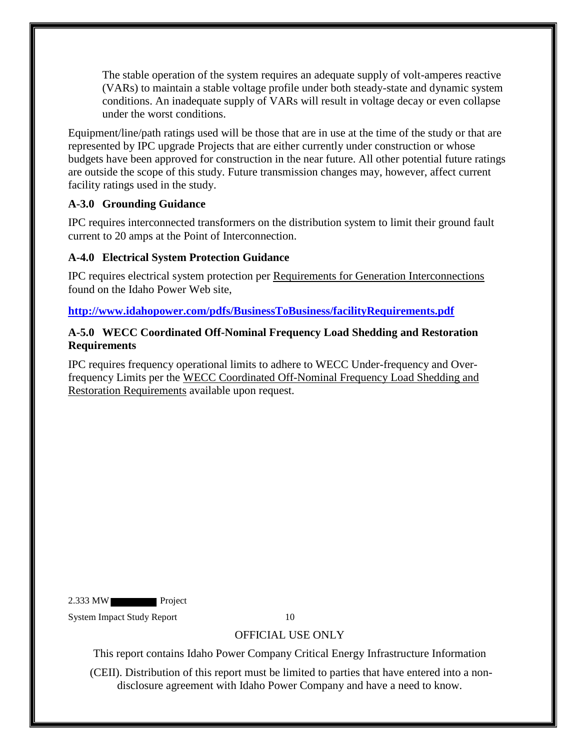The stable operation of the system requires an adequate supply of volt-amperes reactive (VARs) to maintain a stable voltage profile under both steady-state and dynamic system conditions. An inadequate supply of VARs will result in voltage decay or even collapse under the worst conditions.

Equipment/line/path ratings used will be those that are in use at the time of the study or that are represented by IPC upgrade Projects that are either currently under construction or whose budgets have been approved for construction in the near future. All other potential future ratings are outside the scope of this study. Future transmission changes may, however, affect current facility ratings used in the study.

## <span id="page-14-0"></span>**A-3.0 Grounding Guidance**

IPC requires interconnected transformers on the distribution system to limit their ground fault current to 20 amps at the Point of Interconnection.

## <span id="page-14-1"></span>**A-4.0 Electrical System Protection Guidance**

IPC requires electrical system protection per Requirements for Generation Interconnections found on the Idaho Power Web site,

**<http://www.idahopower.com/pdfs/BusinessToBusiness/facilityRequirements.pdf>**

## <span id="page-14-2"></span>**A-5.0 WECC Coordinated Off-Nominal Frequency Load Shedding and Restoration Requirements**

IPC requires frequency operational limits to adhere to WECC Under-frequency and Overfrequency Limits per the WECC Coordinated Off-Nominal Frequency Load Shedding and Restoration Requirements available upon request.

2.333 MW Project

System Impact Study Report 10

## OFFICIAL USE ONLY

This report contains Idaho Power Company Critical Energy Infrastructure Information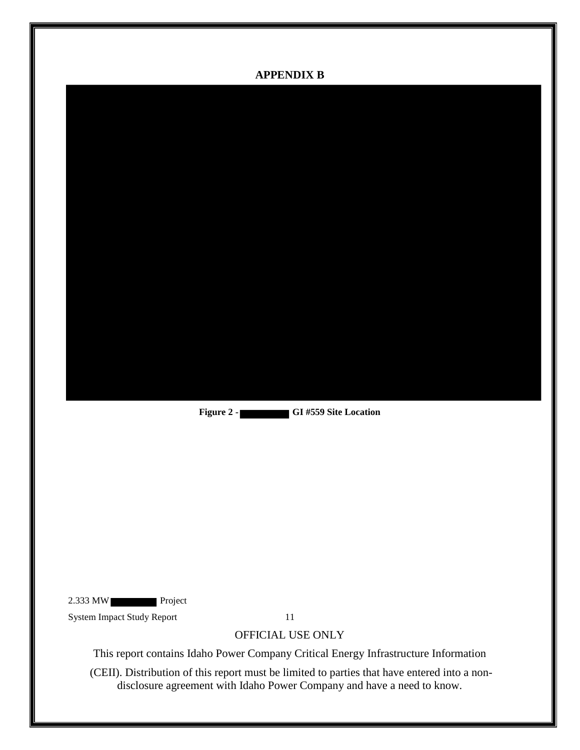<span id="page-15-0"></span>